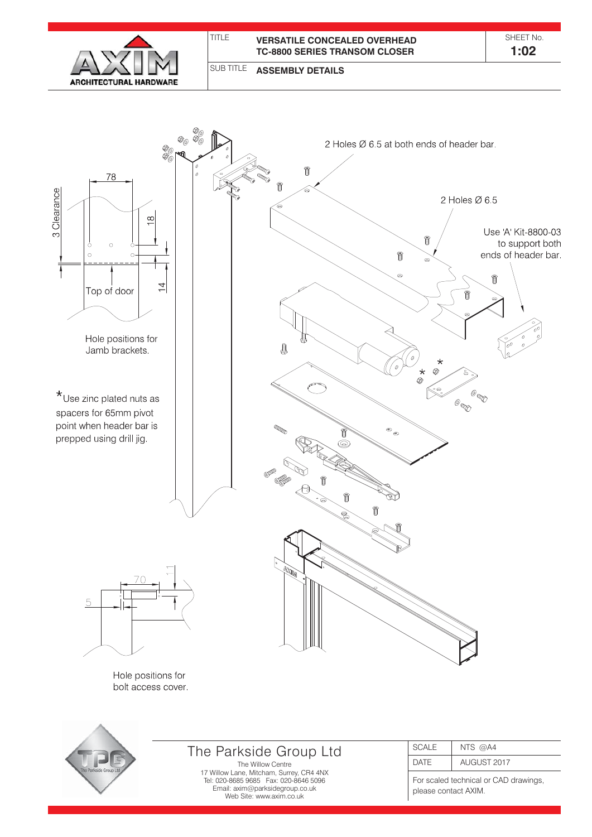

#### SUB TITLE **ASSEMBLY DETAILS**



Hole positions for bolt access cover.



# The Parkside Group Ltd

The Willow Centre 17 Willow Lane, Mitcham, Surrey, CR4 4NX Tel: 020-8685 9685 Fax: 020-8646 5096 Email: axim@parksidegroup.co.uk Web Site: www.axim.co.uk

| <b>SCALE</b> | NTS $@AA$   |
|--------------|-------------|
| <b>DATF</b>  | AUGUST 2017 |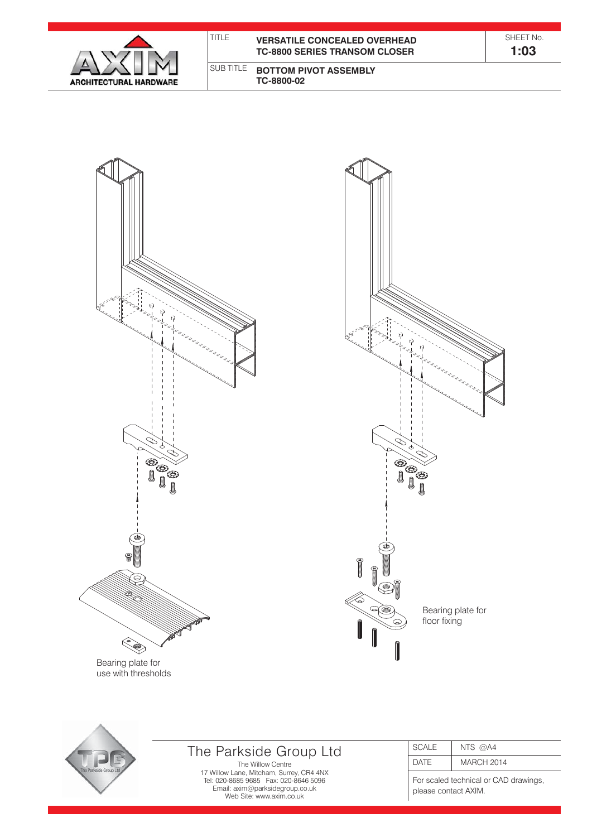| <b>ARCHITECTURAL HARDWARE</b> |
|-------------------------------|

| TITI F | <b>VERSATILE CONCEALED OVERHEAD</b><br><b>TC-8800 SERIES TRANSOM CLOSER</b> | SHEET No<br>1:03 |
|--------|-----------------------------------------------------------------------------|------------------|
|        | I SUB TITLE <b>BOTTOM PIVOT ASSEMBLY</b><br>TC-8800-02                      |                  |



 $\Theta$  $\mathbf{e}$ G Bearing plate for floor fixing



# The Parkside Group Ltd

The Willow Centre 17 Willow Lane, Mitcham, Surrey, CR4 4NX Tel: 020-8685 9685 Fax: 020-8646 5096 Email: axim@parksidegroup.co.uk Web Site: www.axim.co.uk

| SCALE       | NTS $@AA$         |
|-------------|-------------------|
| <b>DATE</b> | <b>MARCH 2014</b> |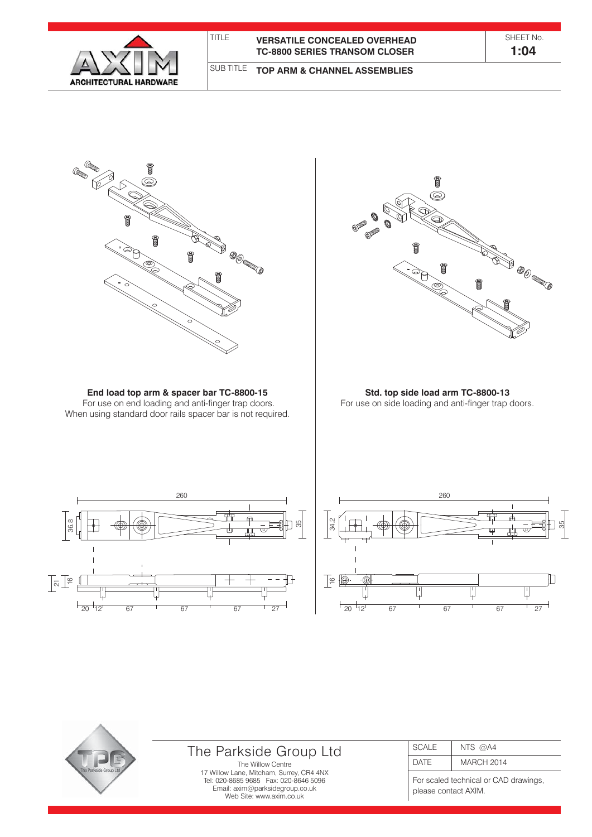

### TITLE **VERSATILE CONCEALED OVERHEAD TC-8800 SERIES TRANSOM CLOSER**

SHEET No. **1:04**

#### SUB TITLE **TOP ARM & CHANNEL ASSEMBLIES**





## The Parkside Group Ltd

The Willow Centre 17 Willow Lane, Mitcham, Surrey, CR4 4NX Tel: 020-8685 9685 Fax: 020-8646 5096 Email: axim@parksidegroup.co.uk Web Site: www.axim.co.uk

| <b>SCALE</b> | NTS $@AA$         |
|--------------|-------------------|
| <b>DATF</b>  | <b>MARCH 2014</b> |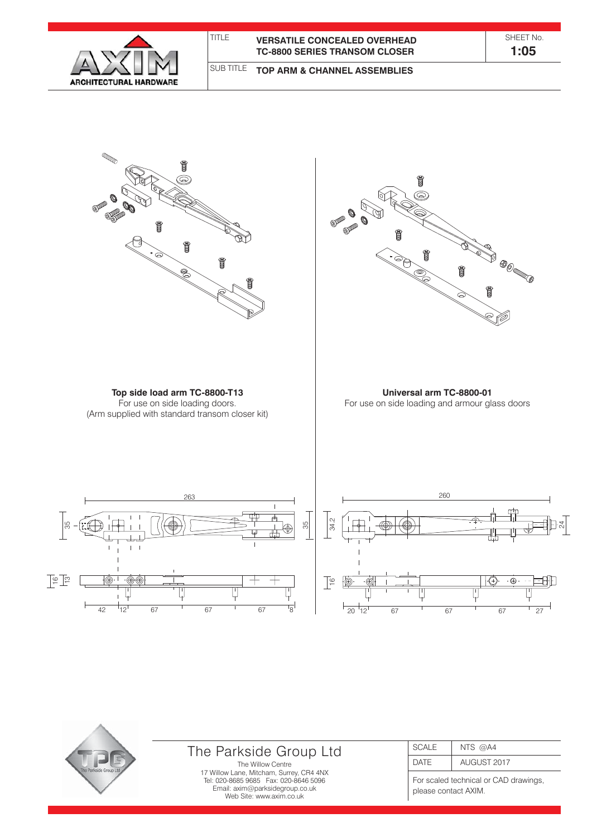

### TITLE **VERSATILE CONCEALED OVERHEAD TC-8800 SERIES TRANSOM CLOSER**

SHEET No. **1:05**

#### SUB TITLE **TOP ARM & CHANNEL ASSEMBLIES**



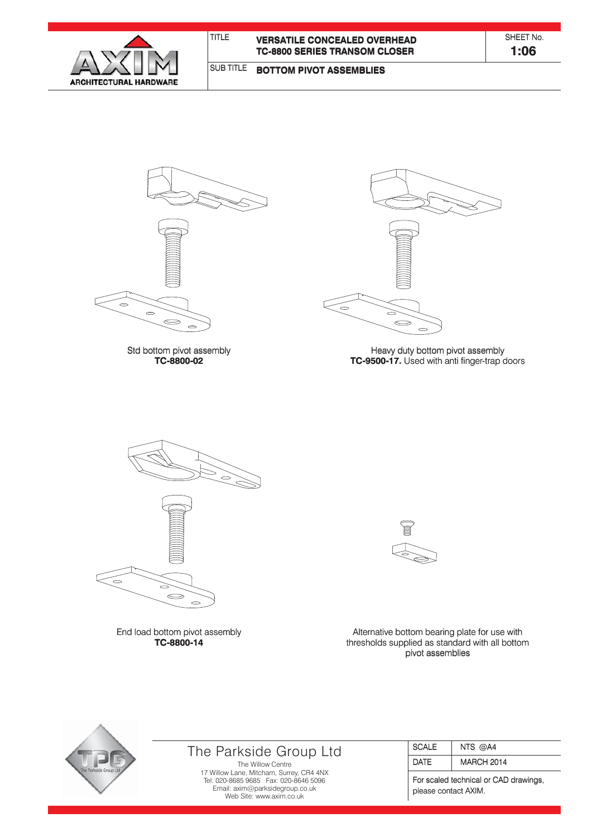

#### SUB TITLE **BOTTOM PIVOT ASSEMBLIES**



Std bottom pivot assembly Std bottom pivot assembly **TC-8800-02**



Heavy duty bottom pivot assembly Heavy duty bottom pivot assembly **TC-9500-17.** Used with anti finger-trap doors



End load bottom pivot assembly **TC-8800-14 TC-8800-14**



Alternative bottom bearing plate for use with thresholds supplied as standard with all bottom thresholds supplied as standard with all bottom pivot assemblies



# The Parkside Group Ltd

The Willow Centre 17 Willow Lane, Mitcham, Surrey, CR4 4NX Tel: 020-8685 9685 Fax: 020-8646 5096 Email: axim@parksidegroup.co.uk Web Site: www.axim.co.uk

| SCALE | NTS $@AA$         |
|-------|-------------------|
| DATF  | <b>MARCH 2014</b> |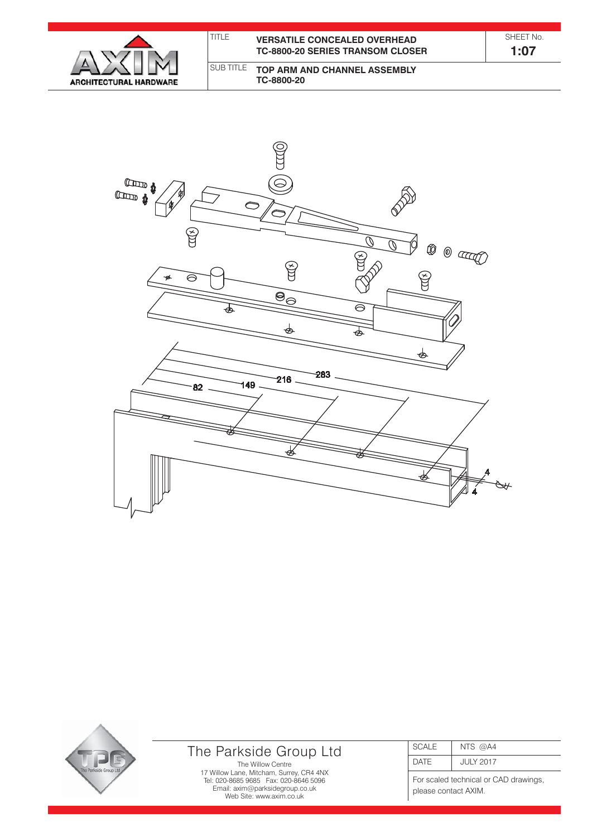

| TITLE | <b>VERSATILE CONCEALED OVERHEAD</b><br><b>TC-8800-20 SERIES TRANSOM CLOSER</b> | SHFFT No<br>1:07 |  |
|-------|--------------------------------------------------------------------------------|------------------|--|
|       | SUB TITLE TOP ARM AND CHANNEL ASSEMBLY                                         |                  |  |

**TC-8800-20**





# The Parkside Group Ltd

The Willow Centre 17 Willow Lane, Mitcham, Surrey, CR4 4NX Tel: 020-8685 9685 Fax: 020-8646 5096 Email: axim@parksidegroup.co.uk Web Site: www.axim.co.uk

| <b>SCALE</b> | NTS $@AA$ |  |  |  |  |  |
|--------------|-----------|--|--|--|--|--|
| ) A I ⊢      | JULY 2017 |  |  |  |  |  |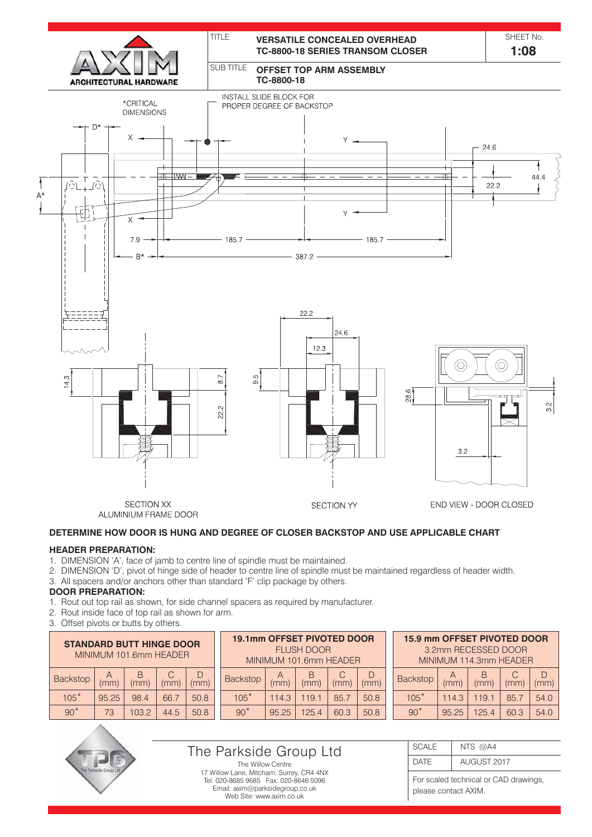

### **DETERMINE HOW DOOR IS HUNG AND DEGREE OF CLOSER BACKSTOP AND USE APPLICABLE CHART**

### **HEADER PREPARATION:**

- 1. DIMENSION 'A', face of jamb to centre line of spindle must be maintained.
- 2. DIMENSION 'D', pivot of hinge side of header to centre line of spindle must be maintained regardless of header width.
- 3. All spacers and/or anchors other than standard 'F' clip package by others.

### **DOOR PREPARATION:**

- 1. Rout out top rail as shown, for side channel spacers as required by manufacturer.
- 2. Rout inside face of top rail as shown for arm.
- 3. Offset pivots or butts by others.

| <b>STANDARD BUTT HINGE DOOR</b><br>MINIMUM 101.6mm HEADER |         |           |      |      | <b>19.1mm OFFSET PIVOTED DOOR</b><br>FI USH DOOR<br>MINIMUM 101.6mm HEADER |         |           |      |      | <b>15.9 mm OFFSET PIVOTED DOOR</b><br>3.2mm RECESSED DOOR<br>MINIMUM 114,3mm HEADER |       |           |      |      |
|-----------------------------------------------------------|---------|-----------|------|------|----------------------------------------------------------------------------|---------|-----------|------|------|-------------------------------------------------------------------------------------|-------|-----------|------|------|
| <b>Backstop</b>                                           | A<br>mm | В<br>(mm) | (mm) | (mm) | <b>Backstop</b>                                                            | A<br>mm | B<br>(mm) | (mm) | (mm) | <b>Backstop</b>                                                                     | (mm   | B<br>(mm) | (mm) | (mm) |
| 105°                                                      | 95.25   | 98.4      | 66.7 | 50.8 | 105°                                                                       | 114.3   | 119.1     | 85.7 | 50.8 | 105°                                                                                | 14.3  | 19.1      | 85.7 | 54.0 |
| 90°                                                       | 73      | 103.2     | 44.5 | 50.8 | $90^{\circ}$                                                               | 95.25   | 125.4     | 60.3 | 50.8 | $90^{\circ}$                                                                        | 95.25 | 125.4     | 60.3 | 54.0 |



### The Parkside Group Ltd

The Willow Centre 17 Willow Lane, Mitcham, Surrey, CR4 4NX Tel: 020-8685 9685 Fax: 020-8646 5096 Email: axim@parksidegroup.co.uk Web Site: www.axim.co.uk

#### **SCALE** DATE NTS @A4 AUGUST 2017